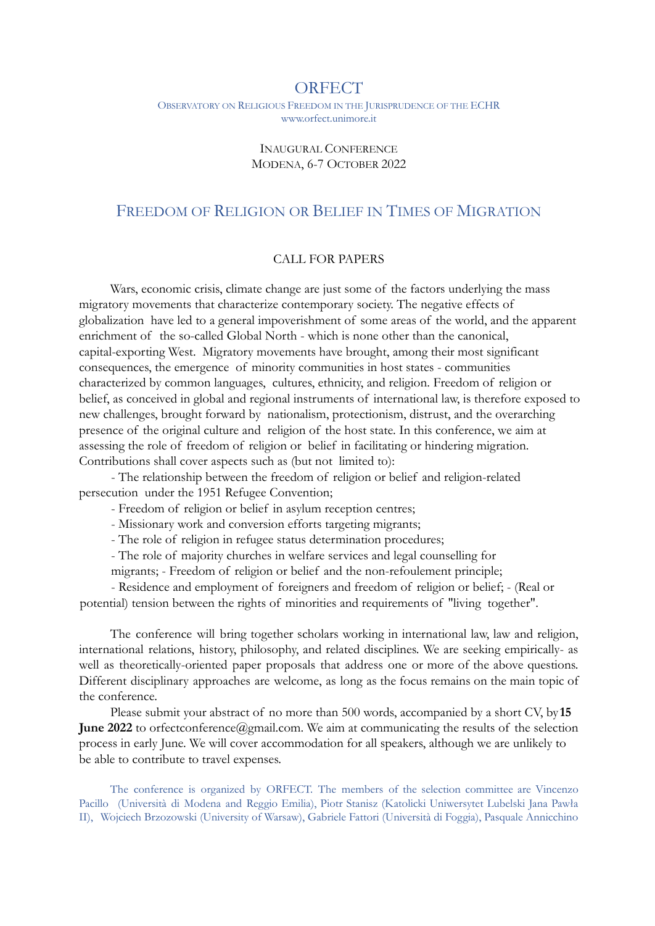## **ORFECT**

OBSERVATORY ON RELIGIOUS FREEDOM IN THE JURISPRUDENCE OF THE ECHR www.orfect.unimore.it

## INAUGURAL CONFERENCE MODENA, 6-7 OCTOBER 2022

## FREEDOM OF RELIGION OR BELIEF IN TIMES OF MIGRATION

## CALL FOR PAPERS

Wars, economic crisis, climate change are just some of the factors underlying the mass migratory movements that characterize contemporary society. The negative effects of globalization have led to a general impoverishment of some areas of the world, and the apparent enrichment of the so-called Global North - which is none other than the canonical, capital-exporting West. Migratory movements have brought, among their most significant consequences, the emergence of minority communities in host states - communities characterized by common languages, cultures, ethnicity, and religion. Freedom of religion or belief, as conceived in global and regional instruments of international law, is therefore exposed to new challenges, brought forward by nationalism, protectionism, distrust, and the overarching presence of the original culture and religion of the host state. In this conference, we aim at assessing the role of freedom of religion or belief in facilitating or hindering migration. Contributions shall cover aspects such as (but not limited to):

- The relationship between the freedom of religion or belief and religion-related persecution under the 1951 Refugee Convention;

- Freedom of religion or belief in asylum reception centres;

- Missionary work and conversion efforts targeting migrants;

- The role of religion in refugee status determination procedures;

- The role of majority churches in welfare services and legal counselling for

migrants; - Freedom of religion or belief and the non-refoulement principle;

- Residence and employment of foreigners and freedom of religion or belief; - (Real or potential) tension between the rights of minorities and requirements of "living together".

The conference will bring together scholars working in international law, law and religion, international relations, history, philosophy, and related disciplines. We are seeking empirically- as well as theoretically-oriented paper proposals that address one or more of the above questions. Different disciplinary approaches are welcome, as long as the focus remains on the main topic of the conference.

Please submit your abstract of no more than 500 words, accompanied by a short CV, by **15 June 2022** to orfectconference@gmail.com. We aim at communicating the results of the selection process in early June. We will cover accommodation for all speakers, although we are unlikely to be able to contribute to travel expenses.

The conference is organized by ORFECT. The members of the selection committee are Vincenzo Pacillo (Università di Modena and Reggio Emilia), Piotr Stanisz (Katolicki Uniwersytet Lubelski Jana Pawła II), Wojciech Brzozowski (University of Warsaw), Gabriele Fattori (Università di Foggia), Pasquale Annicchino